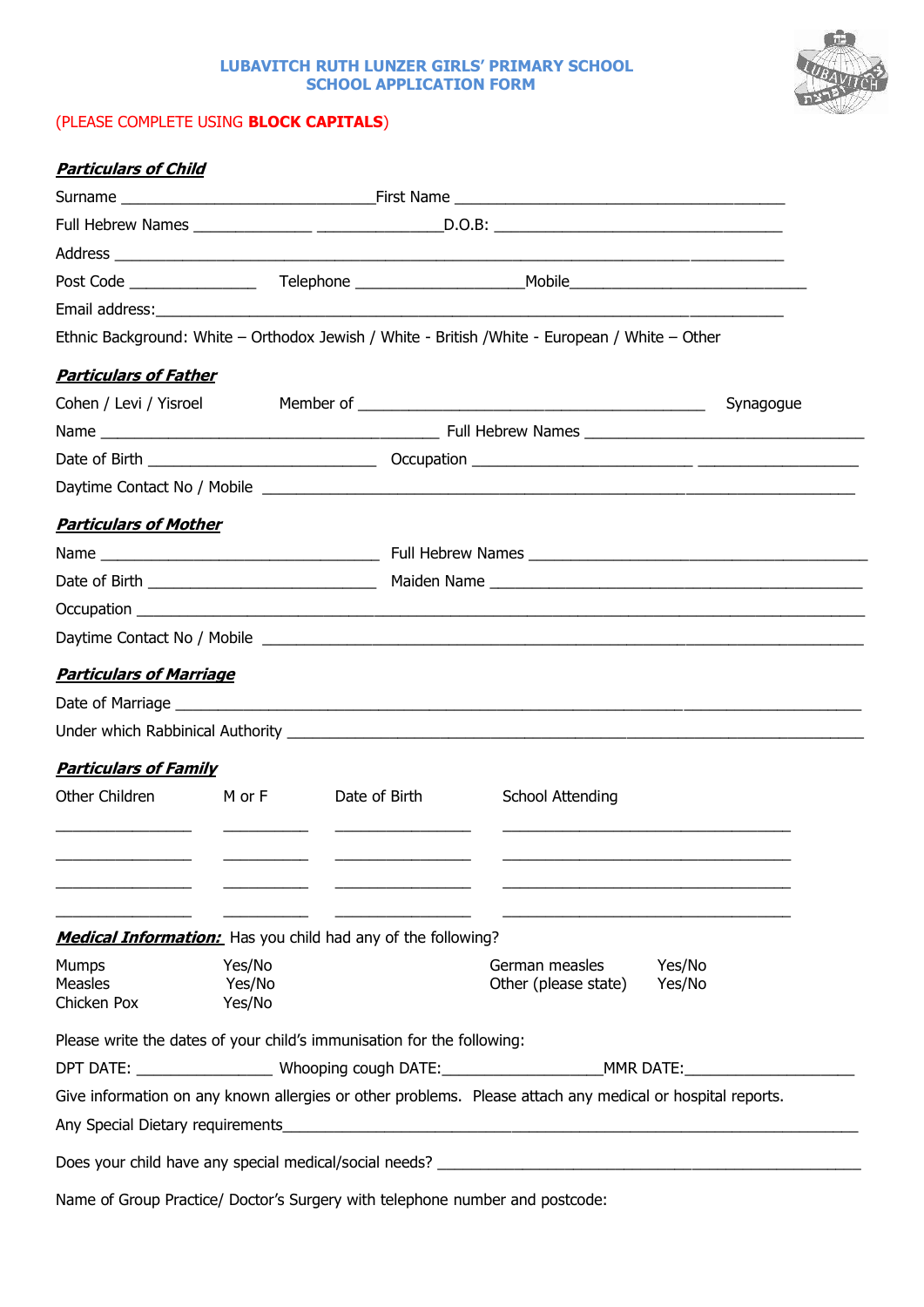## **LUBAVITCH RUTH LUNZER GIRLS' PRIMARY SCHOOL SCHOOL APPLICATION FORM**

## (PLEASE COMPLETE USING **BLOCK CAPITALS**)

| <b>Particulars of Child</b>                                            |        |               |                                                                                                               |           |  |  |
|------------------------------------------------------------------------|--------|---------------|---------------------------------------------------------------------------------------------------------------|-----------|--|--|
|                                                                        |        |               |                                                                                                               |           |  |  |
|                                                                        |        |               |                                                                                                               |           |  |  |
|                                                                        |        |               |                                                                                                               |           |  |  |
|                                                                        |        |               |                                                                                                               |           |  |  |
|                                                                        |        |               |                                                                                                               |           |  |  |
|                                                                        |        |               | Ethnic Background: White - Orthodox Jewish / White - British / White - European / White - Other               |           |  |  |
| <b>Particulars of Father</b>                                           |        |               |                                                                                                               |           |  |  |
|                                                                        |        |               |                                                                                                               | Synagogue |  |  |
|                                                                        |        |               |                                                                                                               |           |  |  |
|                                                                        |        |               |                                                                                                               |           |  |  |
|                                                                        |        |               |                                                                                                               |           |  |  |
| <b>Particulars of Mother</b>                                           |        |               |                                                                                                               |           |  |  |
|                                                                        |        |               |                                                                                                               |           |  |  |
|                                                                        |        |               |                                                                                                               |           |  |  |
|                                                                        |        |               |                                                                                                               |           |  |  |
|                                                                        |        |               |                                                                                                               |           |  |  |
| <b>Particulars of Marriage</b>                                         |        |               |                                                                                                               |           |  |  |
|                                                                        |        |               |                                                                                                               |           |  |  |
|                                                                        |        |               |                                                                                                               |           |  |  |
|                                                                        |        |               |                                                                                                               |           |  |  |
| <b>Particulars of Family</b>                                           |        |               |                                                                                                               |           |  |  |
| Other Children                                                         | M or F | Date of Birth | School Attending                                                                                              |           |  |  |
|                                                                        |        |               |                                                                                                               |           |  |  |
|                                                                        |        |               |                                                                                                               |           |  |  |
|                                                                        |        |               |                                                                                                               |           |  |  |
| <b>Medical Information:</b> Has you child had any of the following?    |        |               |                                                                                                               |           |  |  |
| <b>Mumps</b>                                                           | Yes/No |               | German measles<br>Yes/No                                                                                      |           |  |  |
| <b>Measles</b>                                                         | Yes/No |               | Other (please state)<br>Yes/No                                                                                |           |  |  |
| Chicken Pox                                                            | Yes/No |               |                                                                                                               |           |  |  |
| Please write the dates of your child's immunisation for the following: |        |               |                                                                                                               |           |  |  |
|                                                                        |        |               | DPT DATE: ______________________Whooping cough DATE: ___________________________MMR DATE: ___________________ |           |  |  |
|                                                                        |        |               | Give information on any known allergies or other problems. Please attach any medical or hospital reports.     |           |  |  |
|                                                                        |        |               |                                                                                                               |           |  |  |
|                                                                        |        |               |                                                                                                               |           |  |  |

Name of Group Practice/ Doctor's Surgery with telephone number and postcode: